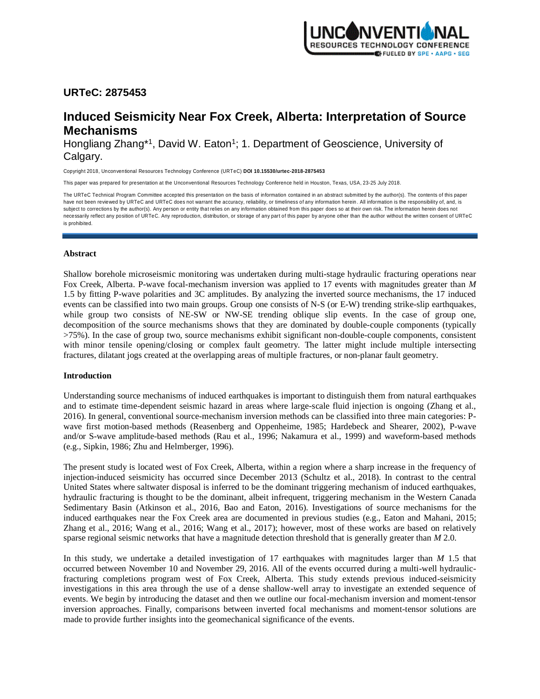

# **URTeC: 2875453**

# **Induced Seismicity Near Fox Creek, Alberta: Interpretation of Source Mechanisms**

Hongliang Zhang\*1, David W. Eaton<sup>1</sup>; 1. Department of Geoscience, University of Calgary.

Copyright 2018, Unconventional Resources Technology Conference (URTeC) **DOI 10.15530/urtec-2018-2875453**

This paper was prepared for presentation at the Unconventional Resources Technology Conference held in Houston, Texas, USA, 23-25 July 2018.

The URTeC Technical Program Committee accepted this presentation on the basis of information contained in an abstract submitted by the author(s). The contents of this paper have not been reviewed by URTeC and URTeC does not warrant the accuracy, reliability, or timeliness of any information herein. All information is the responsibility of, and, is subject to corrections by the author(s). Any person or entity that relies on any information obtained from this paper does so at their own risk. The information herein does not necessarily reflect any position of URTeC. Any reproduction, distribution, or storage of any part of this paper by anyone other than the author without the written consent of URTeC is prohibited.

# **Abstract**

Shallow borehole microseismic monitoring was undertaken during multi-stage hydraulic fracturing operations near Fox Creek, Alberta. P-wave focal-mechanism inversion was applied to 17 events with magnitudes greater than *M* 1.5 by fitting P-wave polarities and 3C amplitudes. By analyzing the inverted source mechanisms, the 17 induced events can be classified into two main groups. Group one consists of N-S (or E-W) trending strike-slip earthquakes, while group two consists of NE-SW or NW-SE trending oblique slip events. In the case of group one, decomposition of the source mechanisms shows that they are dominated by double-couple components (typically >75%). In the case of group two, source mechanisms exhibit significant non-double-couple components, consistent with minor tensile opening/closing or complex fault geometry. The latter might include multiple intersecting fractures, dilatant jogs created at the overlapping areas of multiple fractures, or non-planar fault geometry.

# **Introduction**

Understanding source mechanisms of induced earthquakes is important to distinguish them from natural earthquakes and to estimate time-dependent seismic hazard in areas where large-scale fluid injection is ongoing (Zhang et al., 2016). In general, conventional source-mechanism inversion methods can be classified into three main categories: Pwave first motion-based methods (Reasenberg and Oppenheime, 1985; Hardebeck and Shearer, 2002), P-wave and/or S-wave amplitude-based methods (Rau et al., 1996; Nakamura et al., 1999) and waveform-based methods (e.g., Sipkin, 1986; Zhu and Helmberger, 1996).

The present study is located west of Fox Creek, Alberta, within a region where a sharp increase in the frequency of injection-induced seismicity has occurred since December 2013 (Schultz et al., 2018). In contrast to the central United States where saltwater disposal is inferred to be the dominant triggering mechanism of induced earthquakes, hydraulic fracturing is thought to be the dominant, albeit infrequent, triggering mechanism in the Western Canada Sedimentary Basin (Atkinson et al., 2016, Bao and Eaton, 2016). Investigations of source mechanisms for the induced earthquakes near the Fox Creek area are documented in previous studies (e.g., Eaton and Mahani, 2015; Zhang et al., 2016; Wang et al., 2016; Wang et al., 2017); however, most of these works are based on relatively sparse regional seismic networks that have a magnitude detection threshold that is generally greater than *M* 2.0.

In this study, we undertake a detailed investigation of 17 earthquakes with magnitudes larger than *M* 1.5 that occurred between November 10 and November 29, 2016. All of the events occurred during a multi-well hydraulicfracturing completions program west of Fox Creek, Alberta. This study extends previous induced-seismicity investigations in this area through the use of a dense shallow-well array to investigate an extended sequence of events. We begin by introducing the dataset and then we outline our focal-mechanism inversion and moment-tensor inversion approaches. Finally, comparisons between inverted focal mechanisms and moment-tensor solutions are made to provide further insights into the geomechanical significance of the events.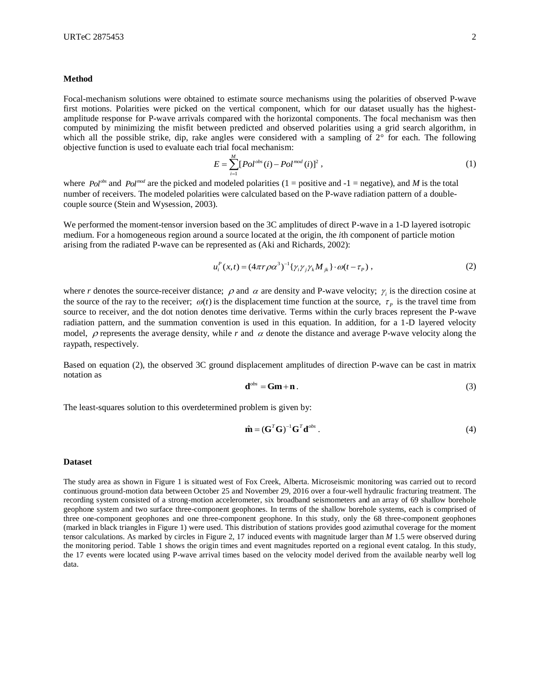#### **Method**

Focal-mechanism solutions were obtained to estimate source mechanisms using the polarities of observed P-wave first motions. Polarities were picked on the vertical component, which for our dataset usually has the highestamplitude response for P-wave arrivals compared with the horizontal components. The focal mechanism was then computed by minimizing the misfit between predicted and observed polarities using a grid search algorithm, in which all the possible strike, dip, rake angles were considered with a sampling of  $2^{\circ}$  for each. The following objective function is used to evaluate each trial focal mechanism:

$$
E = \sum_{i=1}^{M} [Pol^{obs}(i) - Pol^{mod}(i)]^{2}, \qquad (1)
$$

where *Pol<sup>obs</sup>* and *Pol<sup>mod</sup>* are the picked and modeled polarities (1 = positive and -1 = negative), and *M* is the total number of receivers. The modeled polarities were calculated based on the P-wave radiation pattern of a doublecouple source (Stein and Wysession, 2003).

We performed the moment-tensor inversion based on the 3C amplitudes of direct P-wave in a 1-D layered isotropic medium. For a homogeneous region around a source located at the origin, the *i*th component of particle motion arising from the radiated P-wave can be represented as (Aki and Richards, 2002):

$$
u_i^P(x,t) = (4\pi r \rho \alpha^3)^{-1} \{ \gamma_i \gamma_j \gamma_k M_{jk} \} \cdot \omega(t - \tau_p) , \qquad (2)
$$

where r denotes the source-receiver distance;  $\rho$  and  $\alpha$  are density and P-wave velocity;  $\gamma_i$  is the direction cosine at the source of the ray to the receiver;  $\omega(t)$  is the displacement time function at the source,  $\tau_p$  is the travel time from source to receiver, and the dot notion denotes time derivative. Terms within the curly braces represent the P-wave radiation pattern, and the summation convention is used in this equation. In addition, for a 1-D layered velocity model,  $\rho$  represents the average density, while r and  $\alpha$  denote the distance and average P-wave velocity along the raypath, respectively.

Based on equation (2), the observed 3C ground displacement amplitudes of direction P-wave can be cast in matrix notation as

$$
\mathbf{d}^{\text{obs}} = \mathbf{Gm} + \mathbf{n} \,. \tag{3}
$$

The least-squares solution to this overdetermined problem is given by:

$$
\hat{\mathbf{m}} = (\mathbf{G}^T \mathbf{G})^{-1} \mathbf{G}^T \mathbf{d}^{obs} . \tag{4}
$$

#### **Dataset**

The study area as shown in Figure 1 is situated west of Fox Creek, Alberta. Microseismic monitoring was carried out to record continuous ground-motion data between October 25 and November 29, 2016 over a four-well hydraulic fracturing treatment. The recording system consisted of a strong-motion accelerometer, six broadband seismometers and an array of 69 shallow borehole geophone system and two surface three-component geophones. In terms of the shallow borehole systems, each is comprised of three one-component geophones and one three-component geophone. In this study, only the 68 three-component geophones (marked in black triangles in Figure 1) were used. This distribution of stations provides good azimuthal coverage for the moment tensor calculations. As marked by circles in Figure 2, 17 induced events with magnitude larger than *M* 1.5 were observed during the monitoring period. Table 1 shows the origin times and event magnitudes reported on a regional event catalog. In this study, the 17 events were located using P-wave arrival times based on the velocity model derived from the available nearby well log data.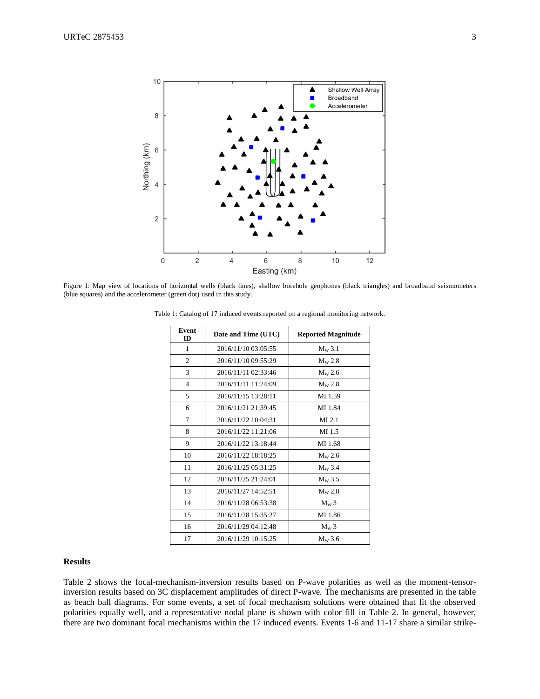

Figure 1: Map view of locations of horizontal wells (black lines), shallow borehole geophones (black triangles) and broadband seismometers (blue squares) and the accelerometer (green dot) used in this study.

| Event<br><b>ID</b> | Date and Time (UTC) | <b>Reported Magnitude</b> |
|--------------------|---------------------|---------------------------|
| 1                  | 2016/11/10 03:05:55 | $M_W$ 3.1                 |
| 2                  | 2016/11/10 09:55:29 | $M_{W}$ 2.8               |
| 3                  | 2016/11/11 02:33:46 | $M_{\rm W}$ 2.6           |
| 4                  | 2016/11/11 11:24:09 | $M_{W}$ 2.8               |
| 5                  | 2016/11/15 13:28:11 | MI 1.59                   |
| 6                  | 2016/11/21 21:39:45 | MI 1.84                   |
| 7                  | 2016/11/22 10:04:31 | $MI$ 2.1                  |
| 8                  | 2016/11/22 11:21:06 | MI 1.5                    |
| 9                  | 2016/11/22 13:18:44 | MI 1.68                   |
| 10                 | 2016/11/22 18:18:25 | $M_W 2.6$                 |
| 11                 | 2016/11/25 05:31:25 | $M_{W}$ 3.4               |
| 12                 | 2016/11/25 21:24:01 | $M_{\rm W}$ 3.5           |
| 13                 | 2016/11/27 14:52:51 | $M_W 2.8$                 |
| 14                 | 2016/11/28 06:53:38 | $M_W 3$                   |
| 15                 | 2016/11/28 15:35:27 | MI 1.86                   |
| 16                 | 2016/11/29 04:12:48 | $M_W$ 3                   |
| 17                 | 2016/11/29 10:15:25 | $M_W$ 3.6                 |

Table 1: Catalog of 17 induced events reported on a regional monitoring network.

# **Results**

Table 2 shows the focal-mechanism-inversion results based on P-wave polarities as well as the moment-tensorinversion results based on 3C displacement amplitudes of direct P-wave. The mechanisms are presented in the table as beach ball diagrams. For some events, a set of focal mechanism solutions were obtained that fit the observed polarities equally well, and a representative nodal plane is shown with color fill in Table 2. In general, however, there are two dominant focal mechanisms within the 17 induced events. Events 1-6 and 11-17 share a similar strike-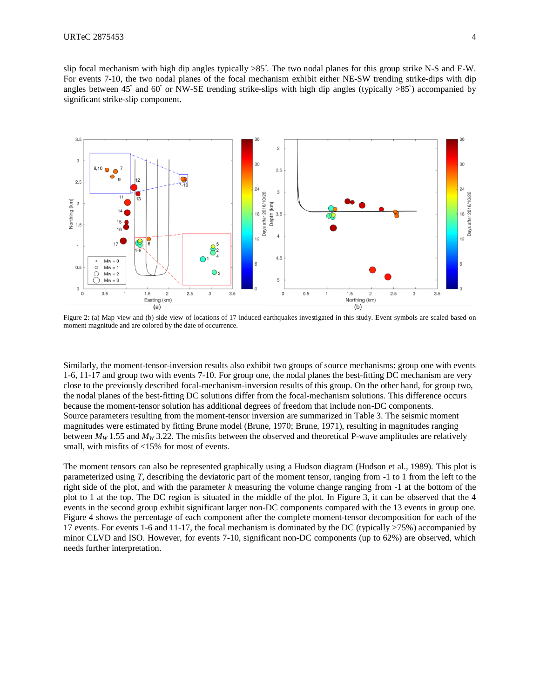slip focal mechanism with high dip angles typically  $>85^\circ$ . The two nodal planes for this group strike N-S and E-W. For events 7-10, the two nodal planes of the focal mechanism exhibit either NE-SW trending strike-dips with dip angles between 45° and 60° or NW-SE trending strike-slips with high dip angles (typically >85°) accompanied by significant strike-slip component.



Figure 2: (a) Map view and (b) side view of locations of 17 induced earthquakes investigated in this study. Event symbols are scaled based on moment magnitude and are colored by the date of occurrence.

Similarly, the moment-tensor-inversion results also exhibit two groups of source mechanisms: group one with events 1-6, 11-17 and group two with events 7-10. For group one, the nodal planes the best-fitting DC mechanism are very close to the previously described focal-mechanism-inversion results of this group. On the other hand, for group two, the nodal planes of the best-fitting DC solutions differ from the focal-mechanism solutions. This difference occurs because the moment-tensor solution has additional degrees of freedom that include non-DC components. Source parameters resulting from the moment-tensor inversion are summarized in Table 3. The seismic moment magnitudes were estimated by fitting Brune model (Brune, 1970; Brune, 1971), resulting in magnitudes ranging between  $M_W$  1.55 and  $M_W$  3.22. The misfits between the observed and theoretical P-wave amplitudes are relatively small, with misfits of <15% for most of events.

The moment tensors can also be represented graphically using a Hudson diagram (Hudson et al., 1989). This plot is parameterized using *T*, describing the deviatoric part of the moment tensor, ranging from -1 to 1 from the left to the right side of the plot, and with the parameter *k* measuring the volume change ranging from -1 at the bottom of the plot to 1 at the top. The DC region is situated in the middle of the plot. In Figure 3, it can be observed that the 4 events in the second group exhibit significant larger non-DC components compared with the 13 events in group one. Figure 4 shows the percentage of each component after the complete moment-tensor decomposition for each of the 17 events. For events 1-6 and 11-17, the focal mechanism is dominated by the DC (typically >75%) accompanied by minor CLVD and ISO. However, for events 7-10, significant non-DC components (up to 62%) are observed, which needs further interpretation.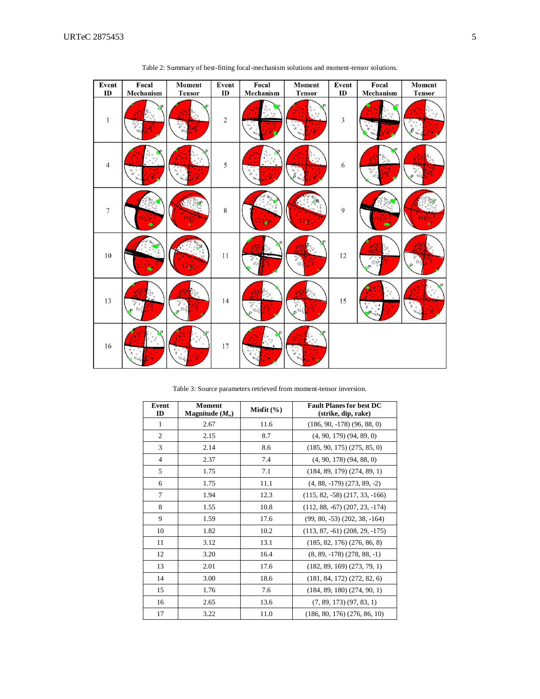| Event              | Focal                              | Moment                                                           | Event            | Focal                   | Moment                                                                                                            | Event                | Focal                                      | Moment                                                      |
|--------------------|------------------------------------|------------------------------------------------------------------|------------------|-------------------------|-------------------------------------------------------------------------------------------------------------------|----------------------|--------------------------------------------|-------------------------------------------------------------|
| ID<br>$\mathbf{1}$ | Mechanism<br>NP.<br>$\circ$        | <b>Tensor</b><br>D<br>$-80^{\circ}$<br>$\theta_0^{\alpha\alpha}$ | ID<br>$\sqrt{2}$ | Mechanism<br>$^{\circ}$ | <b>Tensor</b><br>P<br>$\begin{smallmatrix} \circ & \circ \\ & \circ & \circ \\ & \circ & \circ \end{smallmatrix}$ | ID<br>$\mathfrak{Z}$ | Mechanism                                  | <b>Tensor</b><br>$^{\circ}$<br>$\Phi$<br>B<br>$\theta_{00}$ |
| $\overline{4}$     | o<br>$\circ$<br>œ                  | D                                                                | 5                |                         | $\circ$ $\circ$                                                                                                   | 6                    | P                                          | $-6000$<br>$8^{0}$<br>D                                     |
| $\overline{7}$     |                                    |                                                                  | $\,8\,$          |                         |                                                                                                                   | 9                    |                                            |                                                             |
| $10\,$             |                                    |                                                                  | $11\,$           | P                       | $R^{\mathsf{S}}$<br>805                                                                                           | 12                   | $\delta^{\circ}_{\circ}$<br>8 <sup>o</sup> | $s^{\circ}$<br>8.88<br>P                                    |
| 13                 | Š<br>$^{00}$                       | ೢಁ<br>$P^{\frac{90}{600}}$                                       | $14$             | ႜိ<br>89                | $8^{\circ}$<br>$8^\circ$<br>D                                                                                     | 15                   |                                            | $\theta$ $\circ$<br>$\mathbf{g}$<br>$\circ$<br>$96^\circ$   |
| 16                 | $\Box$<br>80<br>8<br>$\circ$<br>8% | $\overline{a}$<br>$80^{\circ}$                                   | 17               |                         | $\frac{10}{9}$                                                                                                    |                      |                                            |                                                             |

Table 2: Summary of best-fitting focal-mechanism solutions and moment-tensor solutions.

Table 3: Source parameters retrieved from moment-tensor inversion.

| Event<br>ID    | <b>Moment</b><br>Magnitude $(M_w)$ | Misfit $(\% )$ | <b>Fault Planes for best DC</b><br>(strike, dip, rake) |
|----------------|------------------------------------|----------------|--------------------------------------------------------|
| 1              | 2.67                               | 11.6           | $(186, 90, -178)$ $(96, 88, 0)$                        |
| $\overline{2}$ | 2.15                               | 8.7            | $(4, 90, 179)$ $(94, 89, 0)$                           |
| 3              | 2.14                               | 8.6            | $(185, 90, 175)$ $(275, 85, 0)$                        |
| $\overline{4}$ | 2.37                               | 7.4            | $(4, 90, 178)$ $(94, 88, 0)$                           |
| 5              | 1.75                               | 7.1            | $(184, 89, 179)$ $(274, 89, 1)$                        |
| 6              | 1.75                               | 11.1           | $(4, 88, -179)$ $(273, 89, -2)$                        |
| 7              | 1.94                               | 12.3           | $(115, 82, -58)$ $(217, 33, -166)$                     |
| 8              | 1.55                               | 10.8           | $(112, 88, -67)$ $(207, 23, -174)$                     |
| 9              | 1.59                               | 17.6           | $(99, 80, -53)$ $(202, 38, -164)$                      |
| 10             | 1.82                               | 10.2           | $(113, 87, -61)$ $(208, 29, -175)$                     |
| 11             | 3.12                               | 13.1           | $(185, 82, 176)$ $(276, 86, 8)$                        |
| 12             | 3.20                               | 16.4           | $(8, 89, -178)$ $(278, 88, -1)$                        |
| 13             | 2.01                               | 17.6           | $(182, 89, 169)$ $(273, 79, 1)$                        |
| 14             | 3.00                               | 18.6           | $(181, 84, 172)$ $(272, 82, 6)$                        |
| 15             | 1.76                               | 7.6            | $(184, 89, 180)$ $(274, 90, 1)$                        |
| 16             | 2.65                               | 13.6           | $(7, 89, 173)$ $(97, 83, 1)$                           |
| 17             | 3.22                               | 11.0           | $(186, 80, 176)$ $(276, 86, 10)$                       |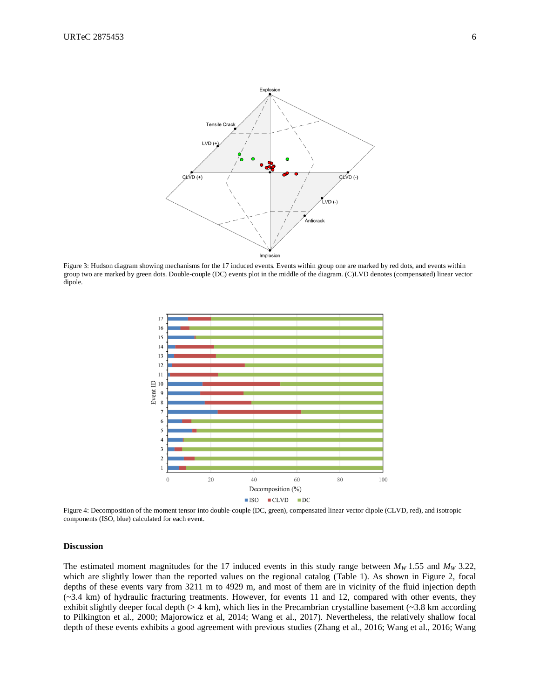

Figure 3: Hudson diagram showing mechanisms for the 17 induced events. Events within group one are marked by red dots, and events within group two are marked by green dots. Double-couple (DC) events plot in the middle of the diagram. (C)LVD denotes (compensated) linear vector dipole.



Figure 4: Decomposition of the moment tensor into double-couple (DC, green), compensated linear vector dipole (CLVD, red), and isotropic components (ISO, blue) calculated for each event.

## **Discussion**

The estimated moment magnitudes for the 17 induced events in this study range between  $M_W$  1.55 and  $M_W$  3.22, which are slightly lower than the reported values on the regional catalog (Table 1). As shown in Figure 2, focal depths of these events vary from 3211 m to 4929 m, and most of them are in vicinity of the fluid injection depth (~3.4 km) of hydraulic fracturing treatments. However, for events 11 and 12, compared with other events, they exhibit slightly deeper focal depth  $(> 4 \text{ km})$ , which lies in the Precambrian crystalline basement  $(> 3.8 \text{ km according})$ to Pilkington et al., 2000; Majorowicz et al, 2014; Wang et al., 2017). Nevertheless, the relatively shallow focal depth of these events exhibits a good agreement with previous studies (Zhang et al., 2016; Wang et al., 2016; Wang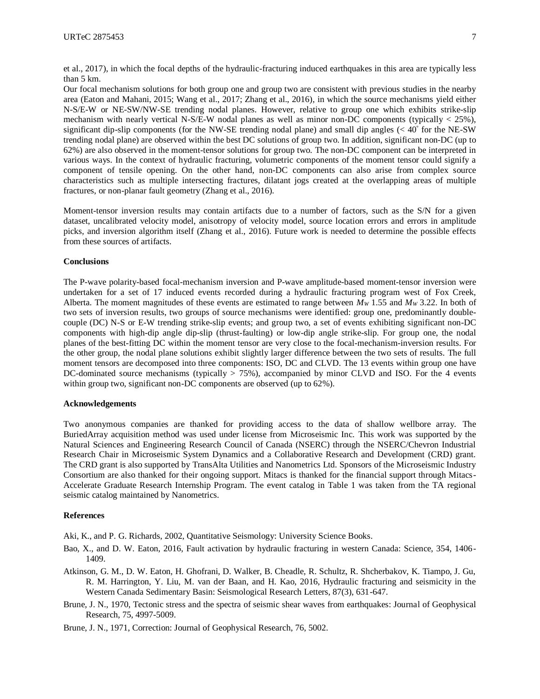Our focal mechanism solutions for both group one and group two are consistent with previous studies in the nearby area (Eaton and Mahani, 2015; Wang et al., 2017; Zhang et al., 2016), in which the source mechanisms yield either N-S/E-W or NE-SW/NW-SE trending nodal planes. However, relative to group one which exhibits strike-slip mechanism with nearly vertical N-S/E-W nodal planes as well as minor non-DC components (typically  $\lt 25\%$ ), significant dip-slip components (for the NW-SE trending nodal plane) and small dip angles (< 40° for the NE-SW trending nodal plane) are observed within the best DC solutions of group two. In addition, significant non-DC (up to 62%) are also observed in the moment-tensor solutions for group two. The non-DC component can be interpreted in various ways. In the context of hydraulic fracturing, volumetric components of the moment tensor could signify a component of tensile opening. On the other hand, non-DC components can also arise from complex source characteristics such as multiple intersecting fractures, dilatant jogs created at the overlapping areas of multiple fractures, or non-planar fault geometry (Zhang et al., 2016).

Moment-tensor inversion results may contain artifacts due to a number of factors, such as the S/N for a given dataset, uncalibrated velocity model, anisotropy of velocity model, source location errors and errors in amplitude picks, and inversion algorithm itself (Zhang et al., 2016). Future work is needed to determine the possible effects from these sources of artifacts.

# **Conclusions**

The P-wave polarity-based focal-mechanism inversion and P-wave amplitude-based moment-tensor inversion were undertaken for a set of 17 induced events recorded during a hydraulic fracturing program west of Fox Creek, Alberta. The moment magnitudes of these events are estimated to range between  $M_W$  1.55 and  $M_W$  3.22. In both of two sets of inversion results, two groups of source mechanisms were identified: group one, predominantly doublecouple (DC) N-S or E-W trending strike-slip events; and group two, a set of events exhibiting significant non-DC components with high-dip angle dip-slip (thrust-faulting) or low-dip angle strike-slip. For group one, the nodal planes of the best-fitting DC within the moment tensor are very close to the focal-mechanism-inversion results. For the other group, the nodal plane solutions exhibit slightly larger difference between the two sets of results. The full moment tensors are decomposed into three components: ISO, DC and CLVD. The 13 events within group one have DC-dominated source mechanisms (typically > 75%), accompanied by minor CLVD and ISO. For the 4 events within group two, significant non-DC components are observed (up to 62%).

## **Acknowledgements**

Two anonymous companies are thanked for providing access to the data of shallow wellbore array. The BuriedArray acquisition method was used under license from Microseismic Inc. This work was supported by the Natural Sciences and Engineering Research Council of Canada (NSERC) through the NSERC/Chevron Industrial Research Chair in Microseismic System Dynamics and a Collaborative Research and Development (CRD) grant. The CRD grant is also supported by TransAlta Utilities and Nanometrics Ltd. Sponsors of the Microseismic Industry Consortium are also thanked for their ongoing support. Mitacs is thanked for the financial support through Mitacs-Accelerate Graduate Research Internship Program. The event catalog in Table 1 was taken from the TA regional seismic catalog maintained by Nanometrics.

# **References**

Aki, K., and P. G. Richards, 2002, Quantitative Seismology: University Science Books.

- Bao, X., and D. W. Eaton, 2016, Fault activation by hydraulic fracturing in western Canada: Science, 354, 1406- 1409.
- Atkinson, G. M., D. W. Eaton, H. Ghofrani, D. Walker, B. Cheadle, R. Schultz, R. Shcherbakov, K. Tiampo, J. Gu, R. M. Harrington, Y. Liu, M. van der Baan, and H. Kao, 2016, Hydraulic fracturing and seismicity in the Western Canada Sedimentary Basin: Seismological Research Letters, 87(3), 631-647.
- Brune, J. N., 1970, Tectonic stress and the spectra of seismic shear waves from earthquakes: Journal of Geophysical Research, 75, 4997-5009.

Brune, J. N., 1971, Correction: Journal of Geophysical Research, 76, 5002.